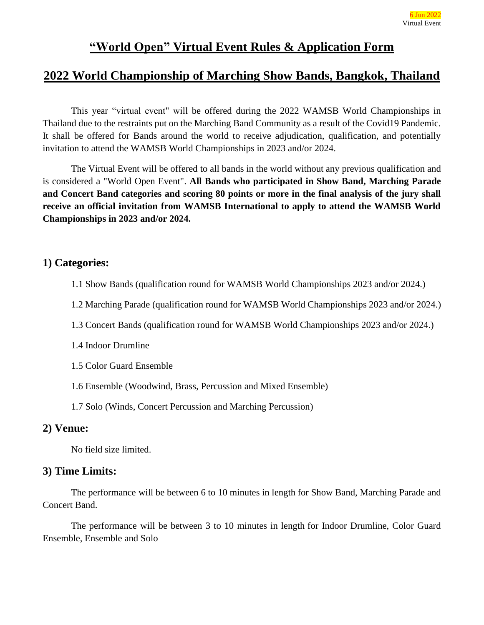### **"World Open" Virtual Event Rules & Application Form**

### **2022 World Championship of Marching Show Bands, Bangkok, Thailand**

This year "virtual event" will be offered during the 2022 WAMSB World Championships in Thailand due to the restraints put on the Marching Band Community as a result of the Covid19 Pandemic. It shall be offered for Bands around the world to receive adjudication, qualification, and potentially invitation to attend the WAMSB World Championships in 2023 and/or 2024.

The Virtual Event will be offered to all bands in the world without any previous qualification and is considered a "World Open Event". **All Bands who participated in Show Band, Marching Parade and Concert Band categories and scoring 80 points or more in the final analysis of the jury shall receive an official invitation from WAMSB International to apply to attend the WAMSB World Championships in 2023 and/or 2024.**

### **1) Categories:**

- 1.1 Show Bands (qualification round for WAMSB World Championships 2023 and/or 2024.)
- 1.2 Marching Parade (qualification round for WAMSB World Championships 2023 and/or 2024.)
- 1.3 Concert Bands (qualification round for WAMSB World Championships 2023 and/or 2024.)
- 1.4 Indoor Drumline
- 1.5 Color Guard Ensemble
- 1.6 Ensemble (Woodwind, Brass, Percussion and Mixed Ensemble)
- 1.7 Solo (Winds, Concert Percussion and Marching Percussion)

### **2) Venue:**

No field size limited.

### **3) Time Limits:**

The performance will be between 6 to 10 minutes in length for Show Band, Marching Parade and Concert Band.

The performance will be between 3 to 10 minutes in length for Indoor Drumline, Color Guard Ensemble, Ensemble and Solo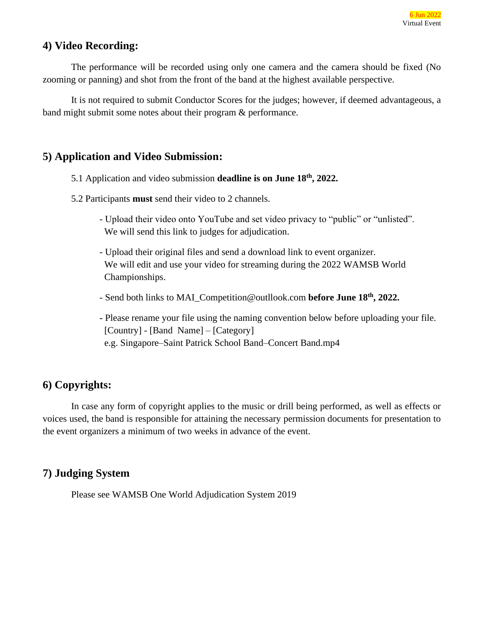### **4) Video Recording:**

The performance will be recorded using only one camera and the camera should be fixed (No zooming or panning) and shot from the front of the band at the highest available perspective.

It is not required to submit Conductor Scores for the judges; however, if deemed advantageous, a band might submit some notes about their program & performance.

### **5) Application and Video Submission:**

- 5.1 Application and video submission **deadline is on June 18th, 2022.**
- 5.2 Participants **must** send their video to 2 channels.
	- Upload their video onto YouTube and set video privacy to "public" or "unlisted". We will send this link to judges for adjudication.
	- Upload their original files and send a download link to event organizer. We will edit and use your video for streaming during the 2022 WAMSB World Championships.
	- Send both links to MAI\_Competition@outllook.com **before June 18th, 2022.**
	- **-** Please rename your file using the naming convention below before uploading your file. [Country] - [Band Name] – [Category] e.g. Singapore–Saint Patrick School Band–Concert Band.mp4

### **6) Copyrights:**

In case any form of copyright applies to the music or drill being performed, as well as effects or voices used, the band is responsible for attaining the necessary permission documents for presentation to the event organizers a minimum of two weeks in advance of the event.

### **7) Judging System**

Please see WAMSB One World Adjudication System 2019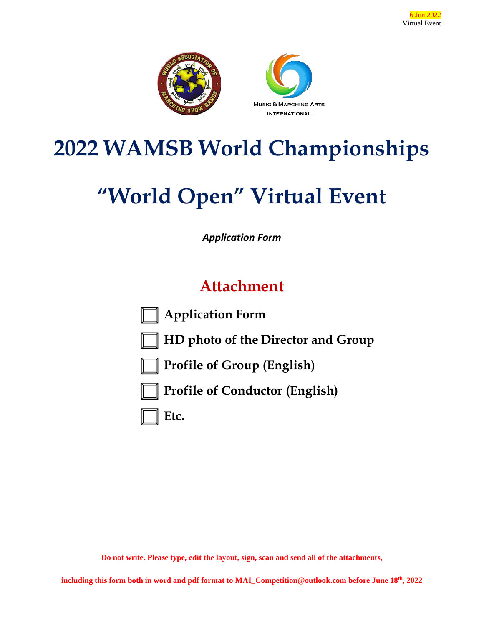

# **2022 WAMSB World Championships**

# **"World Open" Virtual Event**

*Application Form*

## **Attachment**



**Application Form**



**HD photo of the Director and Group**



**Profile of Group (English)**



**Profile of Conductor (English)**



**Do not write. Please type, edit the layout, sign, scan and send all of the attachments,**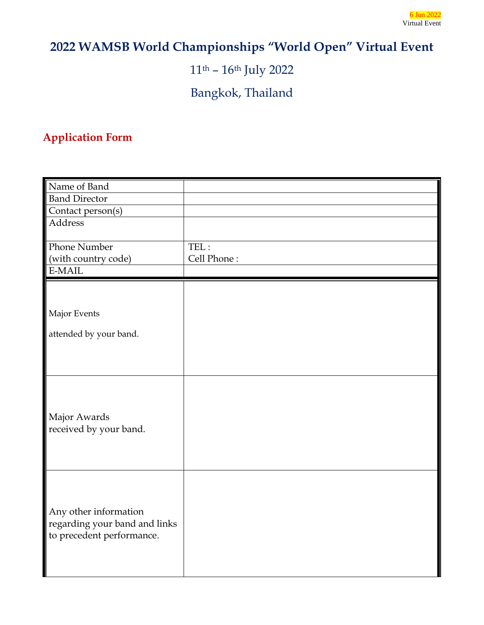## **2022 WAMSB World Championships "World Open" Virtual Event**

11th – 16th July 2022

Bangkok, Thailand

### **Application Form**

| Name of Band                  |             |
|-------------------------------|-------------|
| <b>Band Director</b>          |             |
| Contact person(s)             |             |
| Address                       |             |
|                               |             |
| Phone Number                  | TEL:        |
| (with country code)           | Cell Phone: |
| E-MAIL                        |             |
|                               |             |
|                               |             |
| Major Events                  |             |
|                               |             |
| attended by your band.        |             |
|                               |             |
|                               |             |
|                               |             |
|                               |             |
|                               |             |
| Major Awards                  |             |
| received by your band.        |             |
|                               |             |
|                               |             |
|                               |             |
|                               |             |
|                               |             |
|                               |             |
| Any other information         |             |
| regarding your band and links |             |
| to precedent performance.     |             |
|                               |             |
|                               |             |
|                               |             |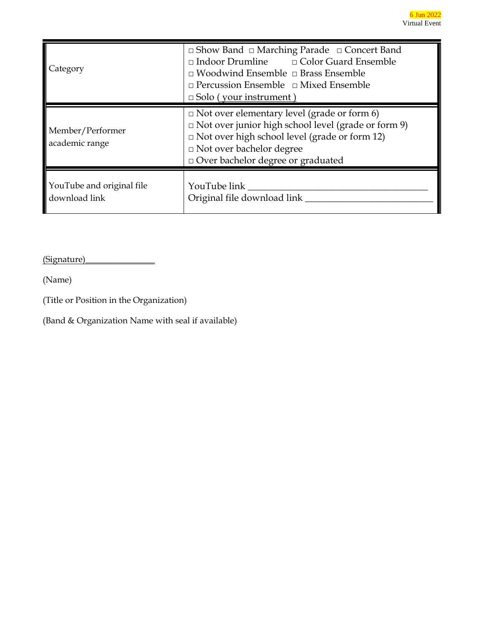| Category                                   | $\Box$ Show Band $\Box$ Marching Parade $\Box$ Concert Band<br>$\Box$ Indoor Drumline $\Box$ Color Guard Ensemble<br>$\Box$ Woodwind Ensemble $\Box$ Brass Ensemble<br>$\Box$ Percussion Ensemble $\Box$ Mixed Ensemble<br>$\Box$ Solo (your instrument) |
|--------------------------------------------|----------------------------------------------------------------------------------------------------------------------------------------------------------------------------------------------------------------------------------------------------------|
| Member/Performer<br>academic range         | $\Box$ Not over elementary level (grade or form 6)<br>$\Box$ Not over junior high school level (grade or form 9)<br>$\Box$ Not over high school level (grade or form 12)<br>□ Not over bachelor degree<br>$\Box$<br>Over bachelor degree or graduated    |
| YouTube and original file<br>download link | YouTube link<br>Original file download link _                                                                                                                                                                                                            |

(Signature)\_\_\_\_\_\_\_\_\_\_\_\_\_\_\_\_

(Name)

(Title or Position in the Organization)

(Band & Organization Name with seal if available)